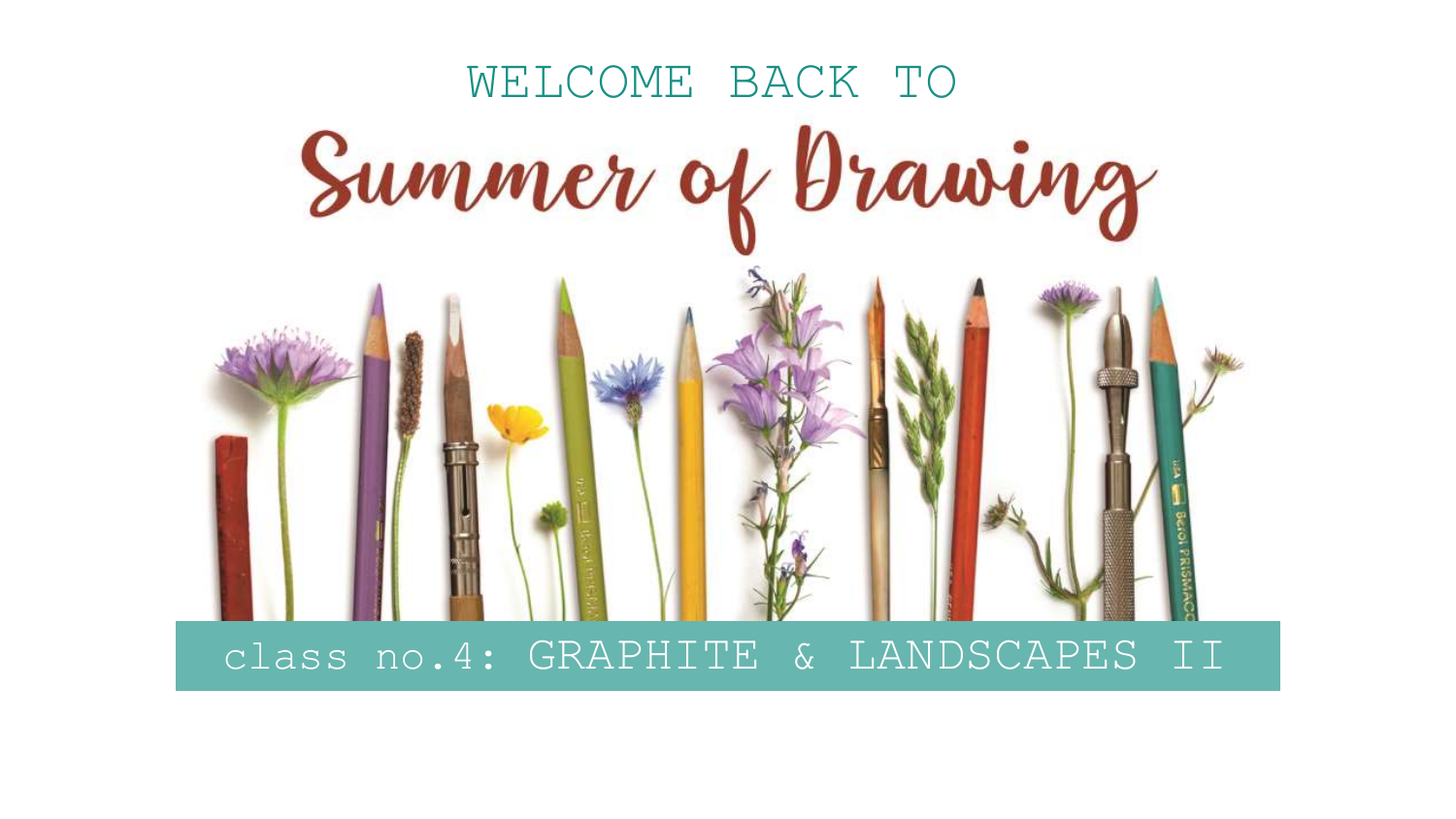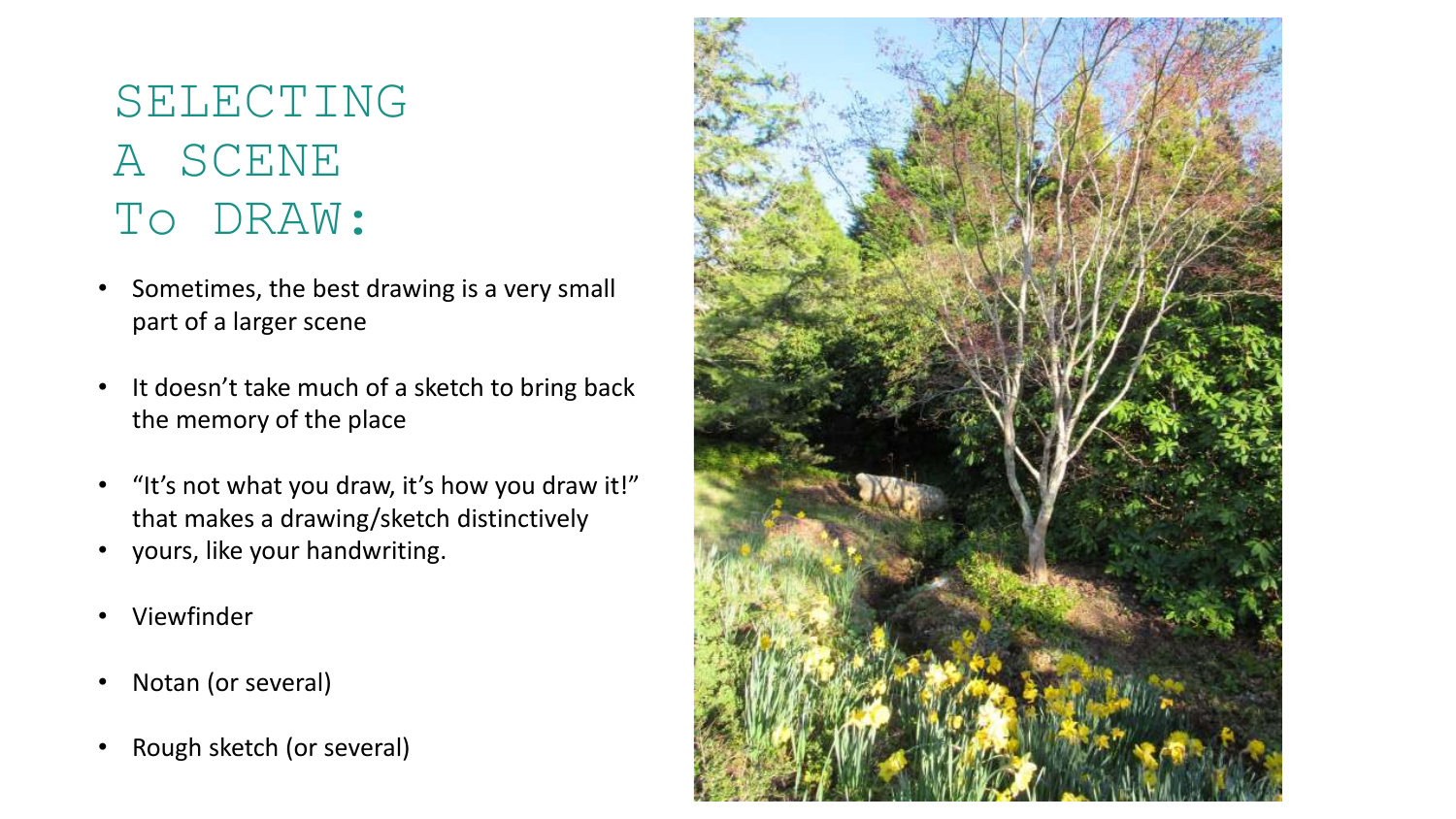### SELECTING A SCENE To DRAW:

- Sometimes, the best drawing is a very small part of a larger scene
- It doesn't take much of a sketch to bring back the memory of the place
- "It's not what you draw, it's how you draw it!" that makes a drawing/sketch distinctively
- yours, like your handwriting.
- Viewfinder
- Notan (or several)
- Rough sketch (or several)

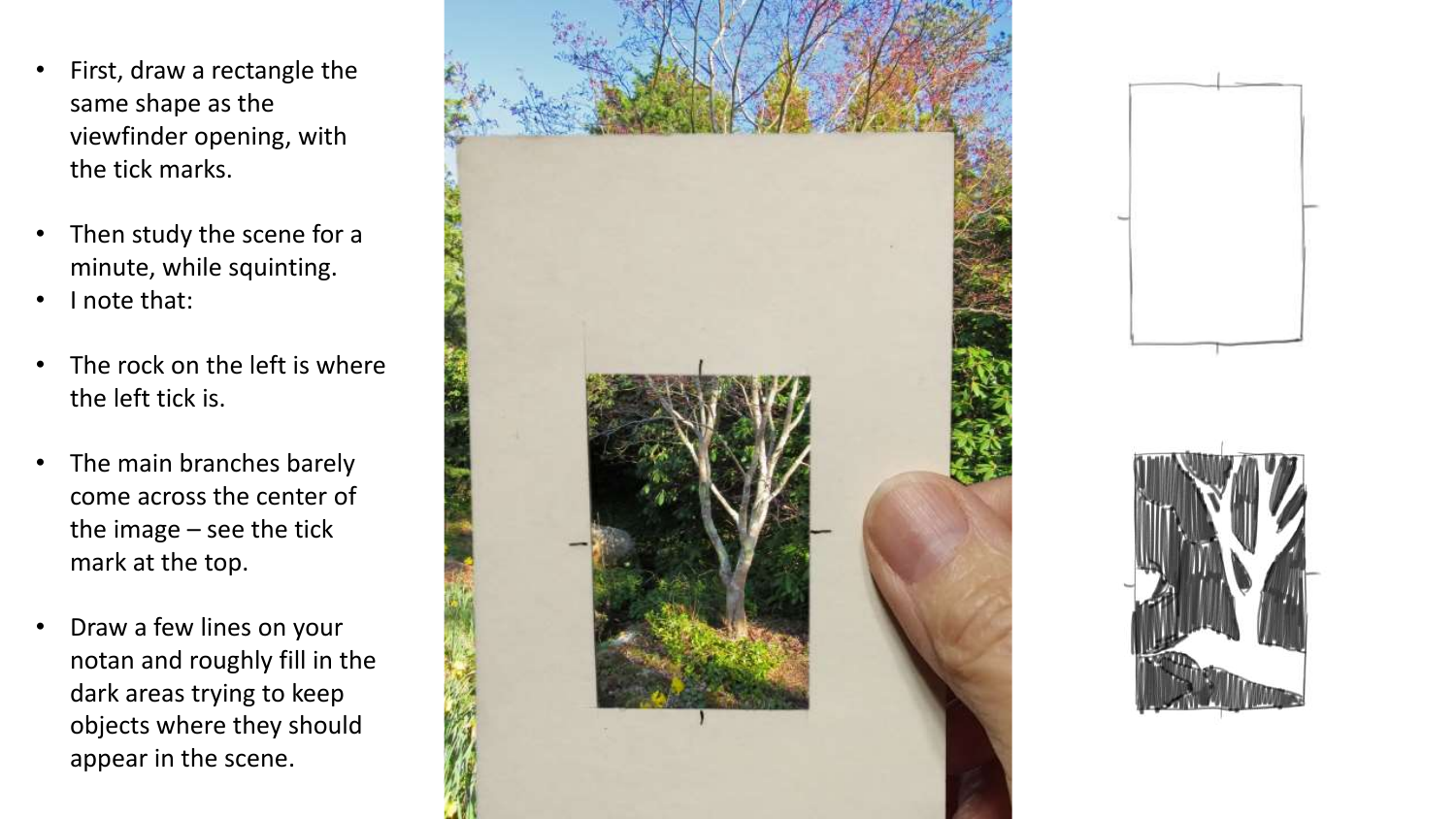- First, draw a rectangle the same shape as the viewfinder opening, with the tick marks.
- Then study the scene for a minute, while squinting.
- I note that:
- The rock on the left is where the left tick is.
- The main branches barely come across the center of the image – see the tick mark at the top.
- Draw a few lines on your notan and roughly fill in the dark areas trying to keep objects where they should appear in the scene.





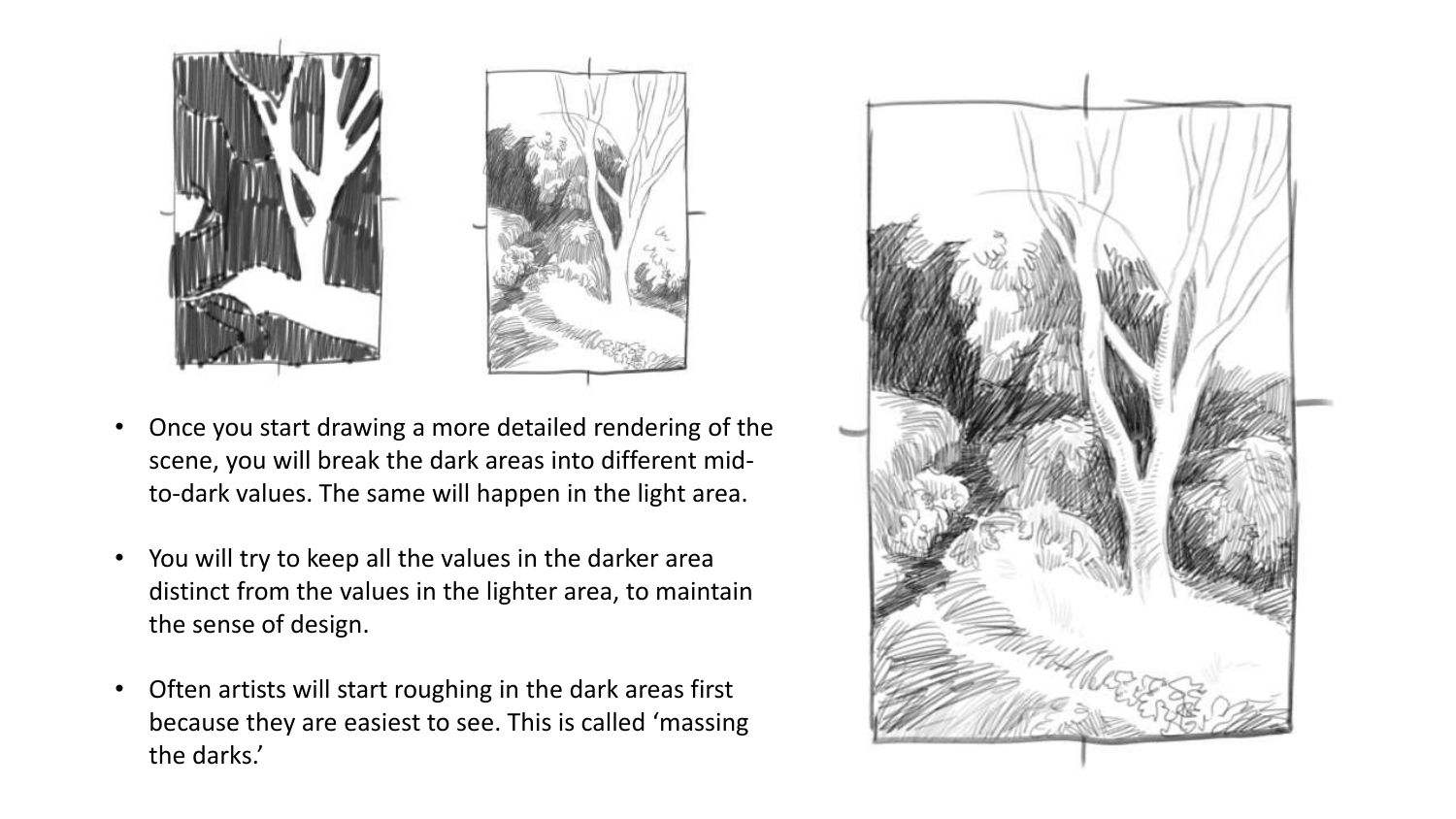

- Once you start drawing a more detailed rendering of the scene, you will break the dark areas into different midto-dark values. The same will happen in the light area.
- You will try to keep all the values in the darker area distinct from the values in the lighter area, to maintain the sense of design.
- Often artists will start roughing in the dark areas first because they are easiest to see. This is called 'massing the darks.'

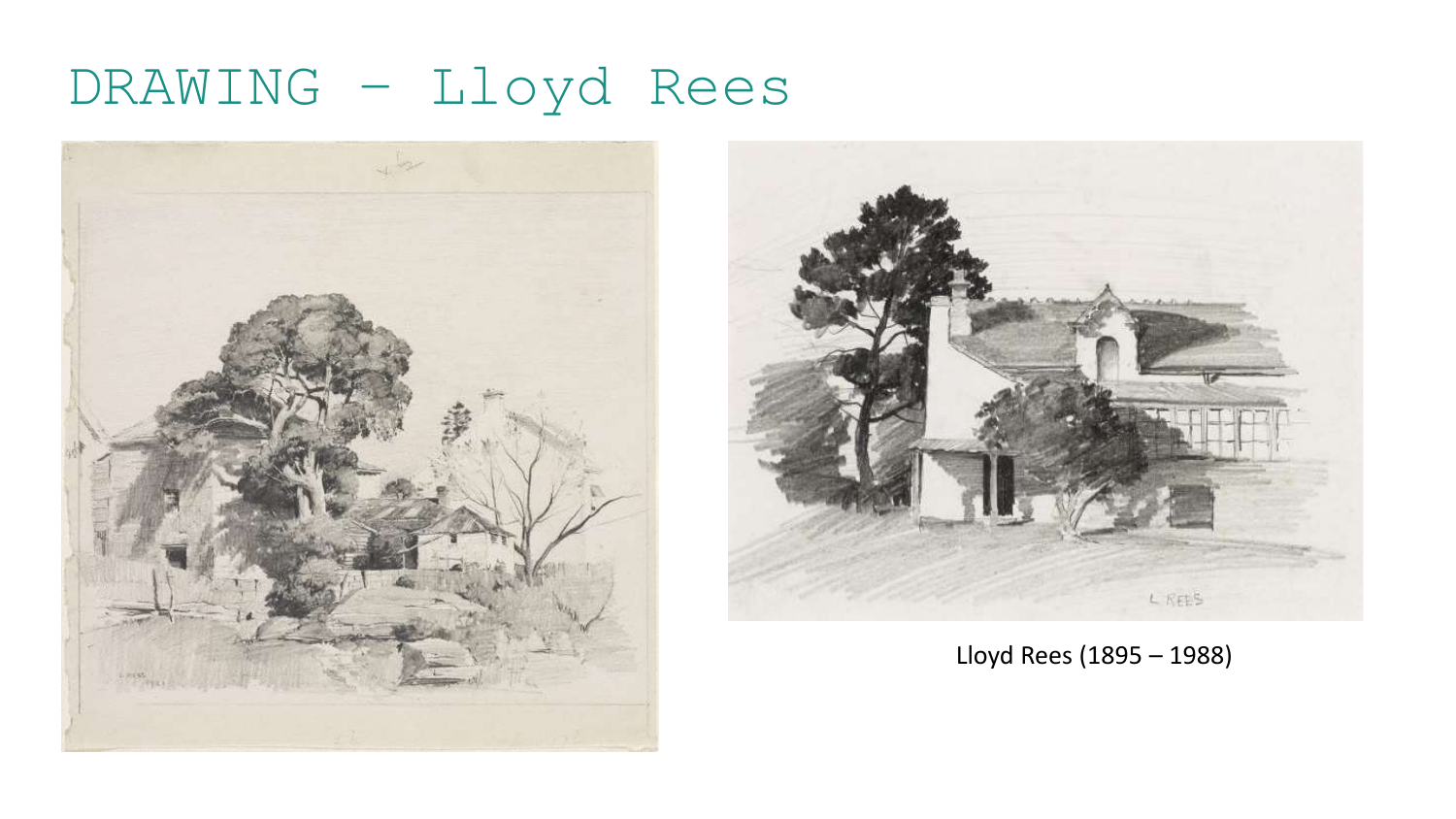## DRAWING – Lloyd Rees





Lloyd Rees (1895 – 1988)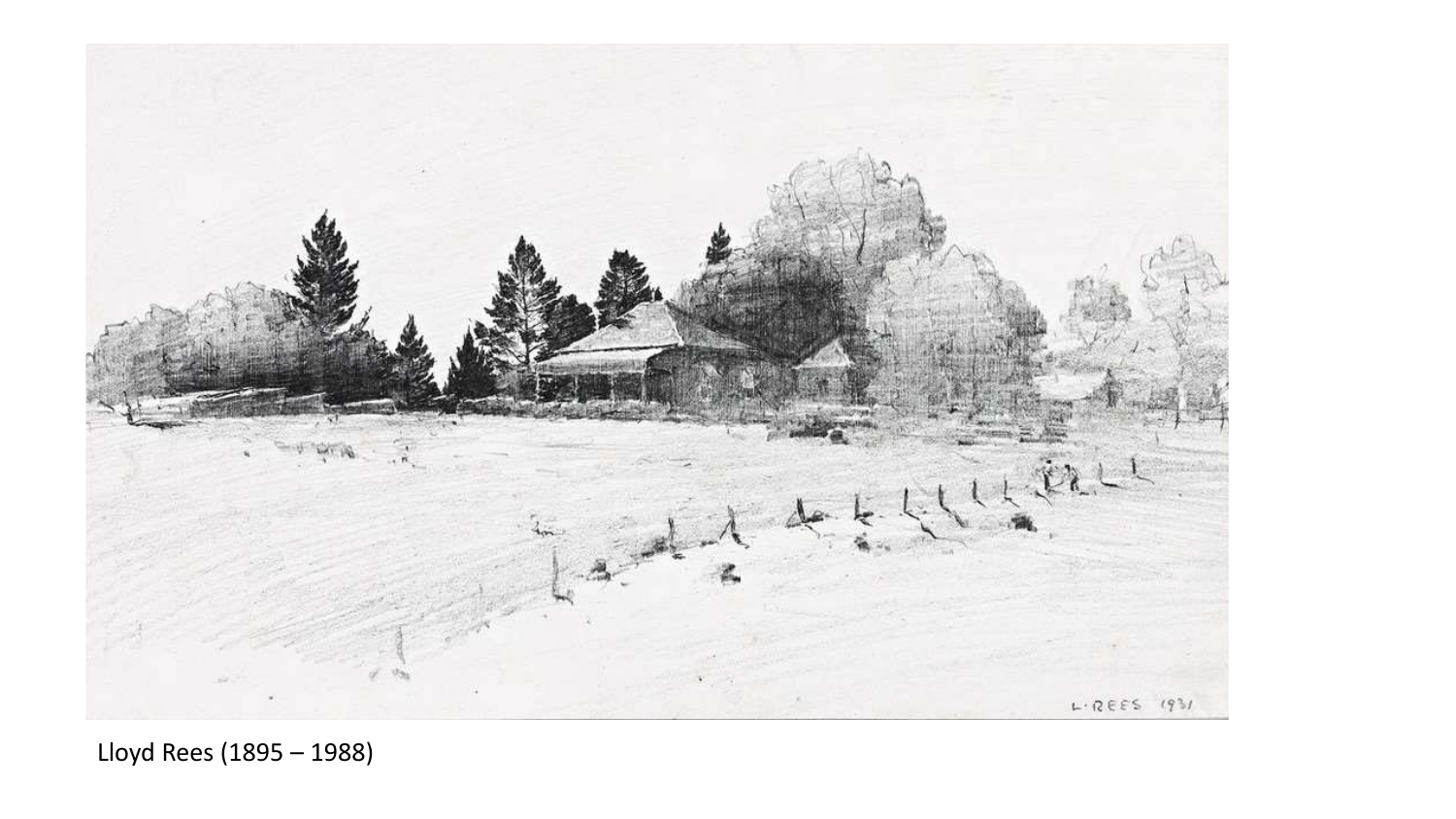

Lloyd Rees (1895 – 1988)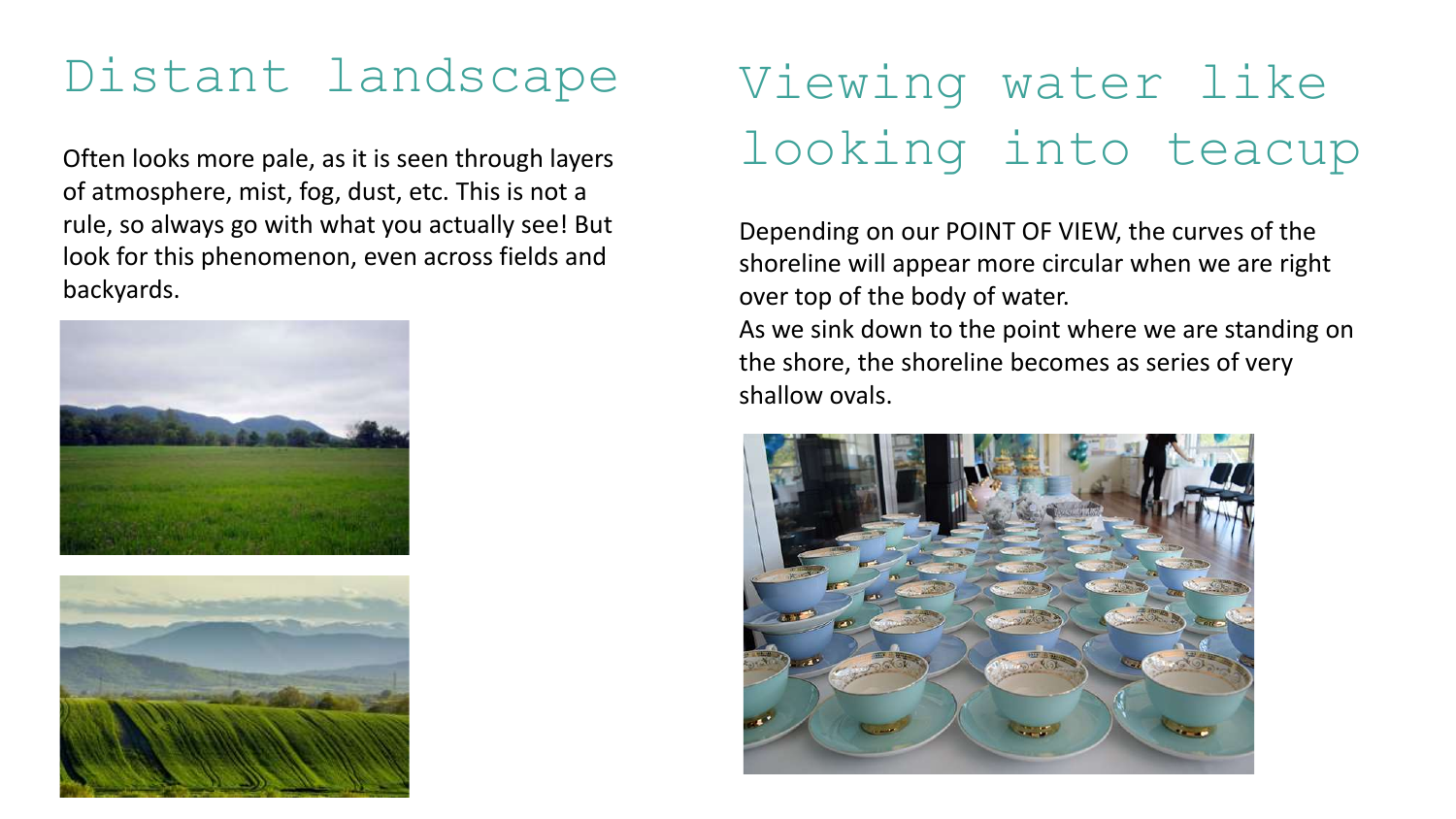### Distant landscape

Often looks more pale, as it is seen through layers of atmosphere, mist, fog, dust, etc. This is not a rule, so always go with what you actually see! But look for this phenomenon, even across fields and backyards.





# Viewing water like looking into teacup

Depending on our POINT OF VIEW, the curves of the shoreline will appear more circular when we are right over top of the body of water.

As we sink down to the point where we are standing on the shore, the shoreline becomes as series of very shallow ovals.

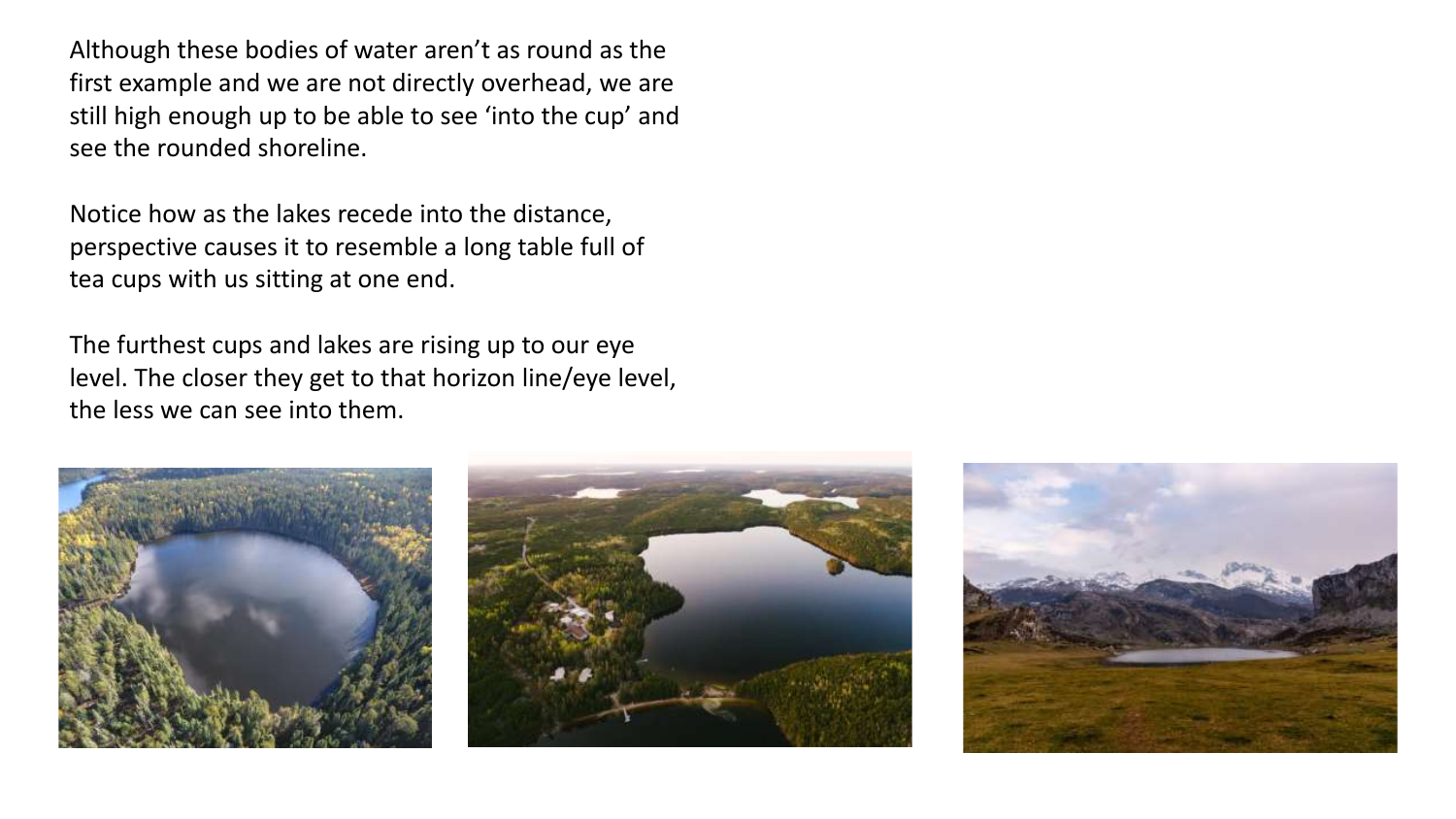Although these bodies of water aren't as round as the first example and we are not directly overhead, we are still high enough up to be able to see 'into the cup' and see the rounded shoreline.

Notice how as the lakes recede into the distance, perspective causes it to resemble a long table full of tea cups with us sitting at one end.

The furthest cups and lakes are rising up to our eye level. The closer they get to that horizon line/eye level, the less we can see into them.





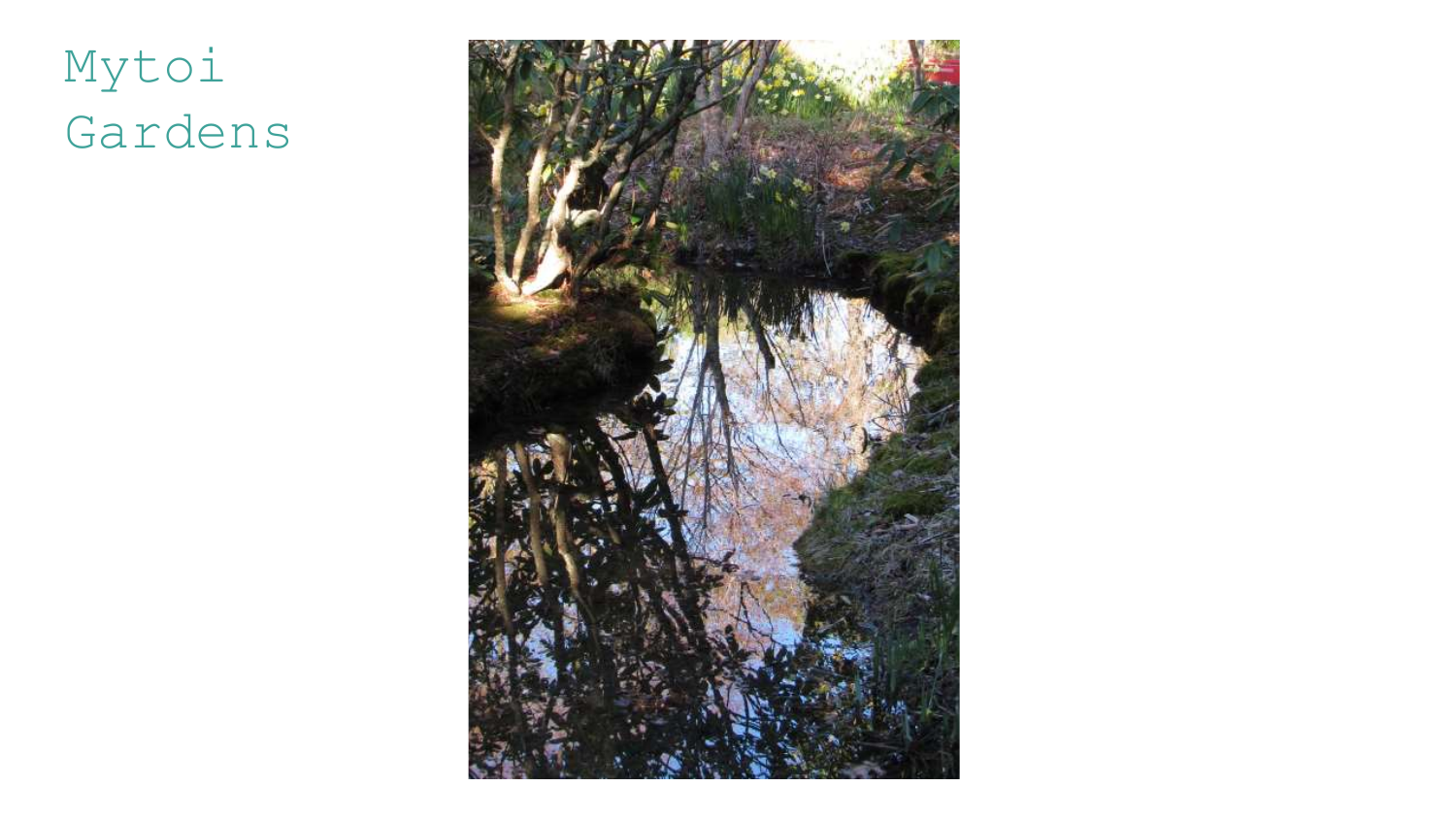# Mytoi Gardens

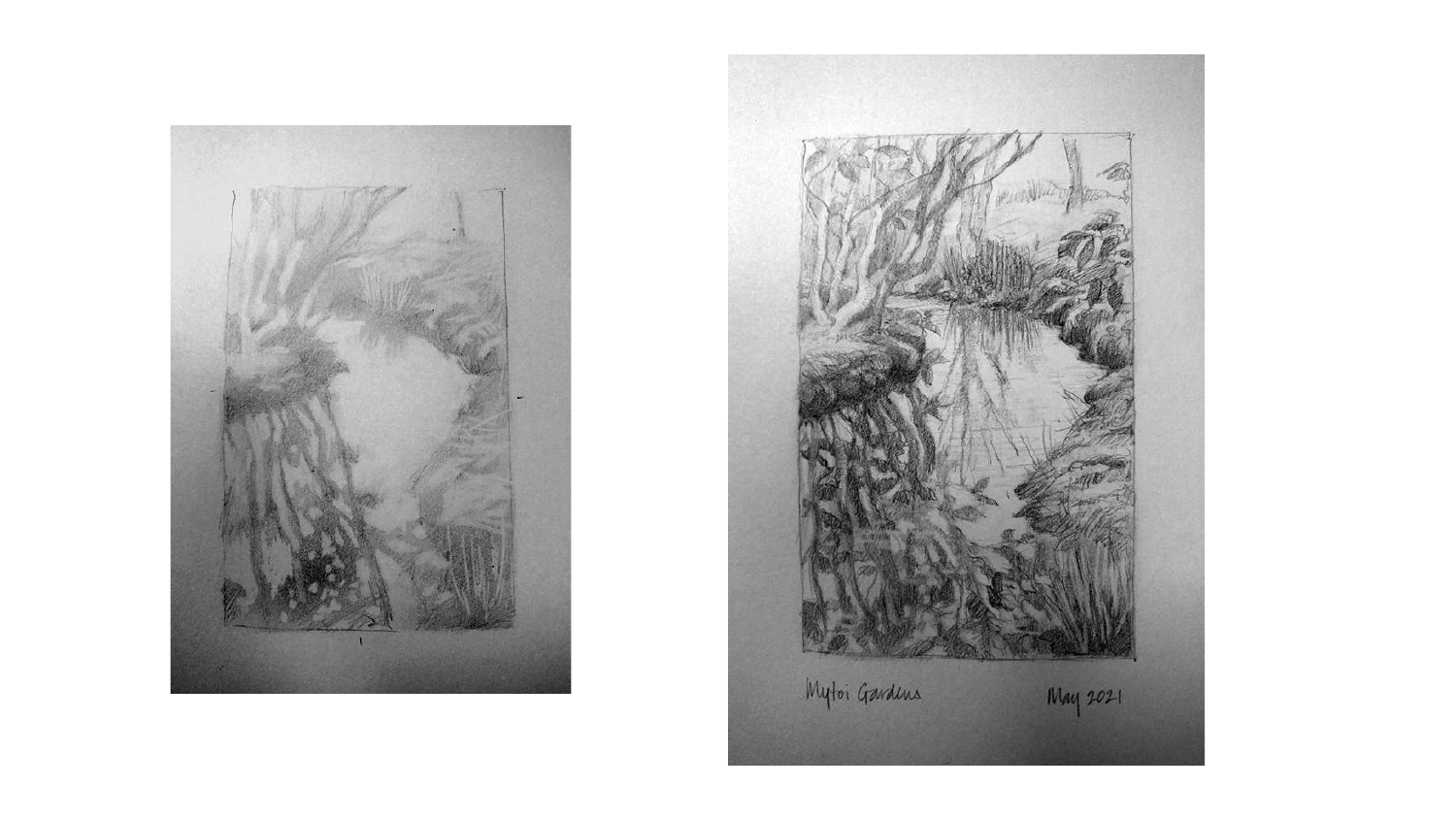

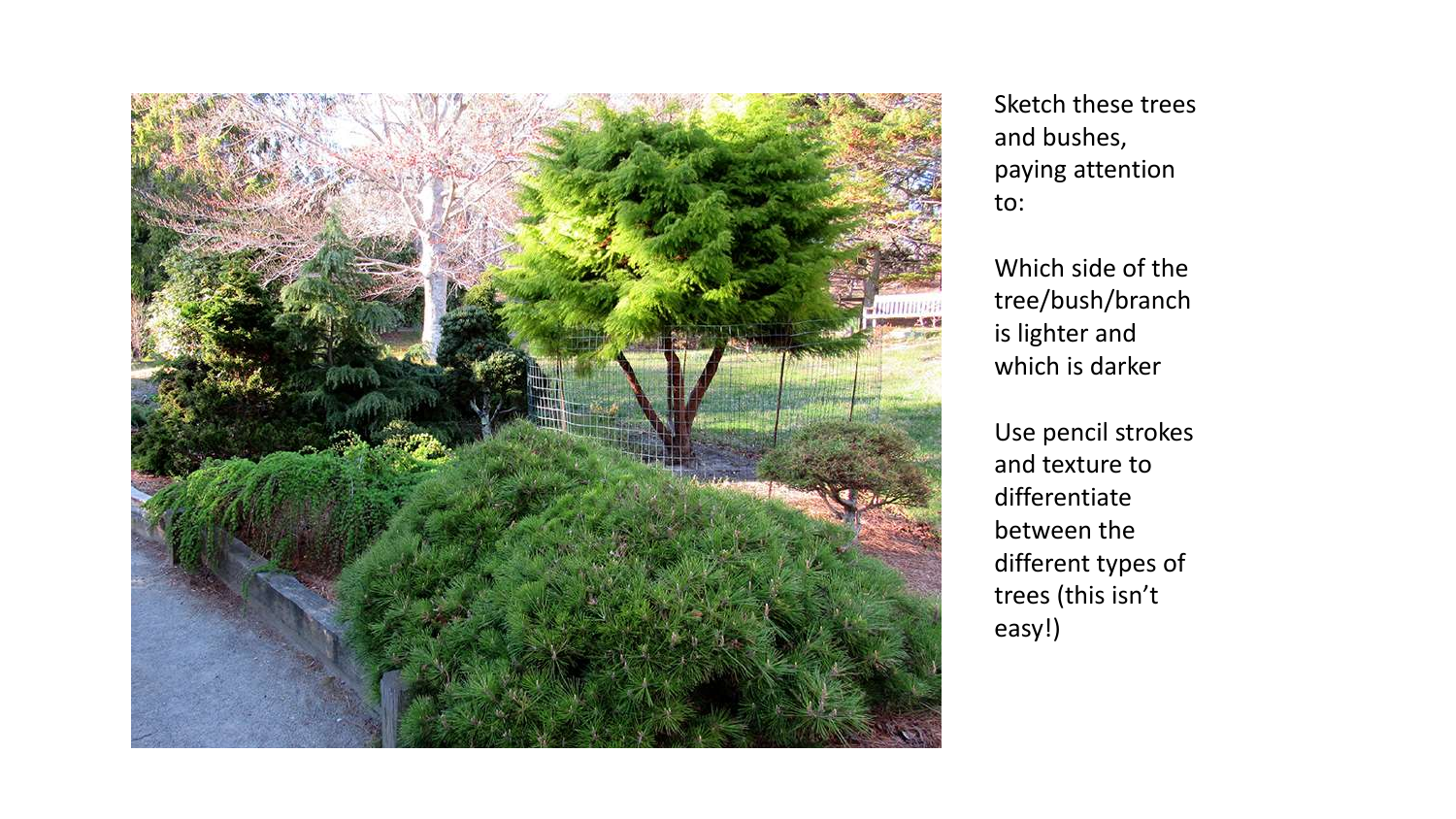

Sketch these trees and bushes, paying attention to:

Which side of the tree/bush/branch is lighter and which is darker

Use pencil strokes and texture to differentiate between the different types of trees (this isn't easy!)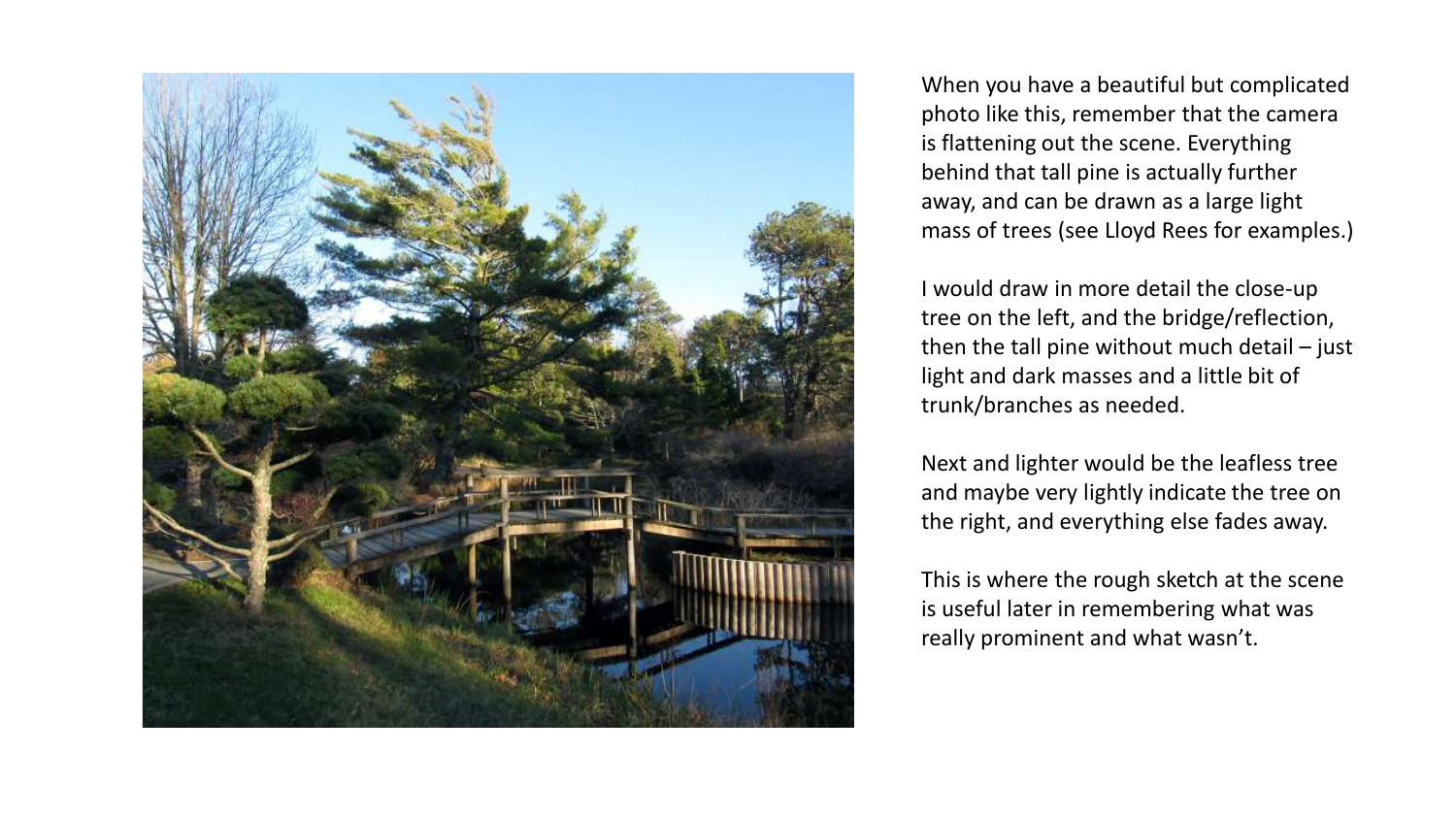

When you have a beautiful but complicated photo like this, remember that the camera is flattening out the scene. Everything behind that tall pine is actually further away, and can be drawn as a large light mass of trees (see Lloyd Rees for examples.)

I would draw in more detail the close-up tree on the left, and the bridge/reflection, then the tall pine without much detail – just light and dark masses and a little bit of trunk/branches as needed.

Next and lighter would be the leafless tree and maybe very lightly indicate the tree on the right, and everything else fades away.

This is where the rough sketch at the scene is useful later in remembering what was really prominent and what wasn't.